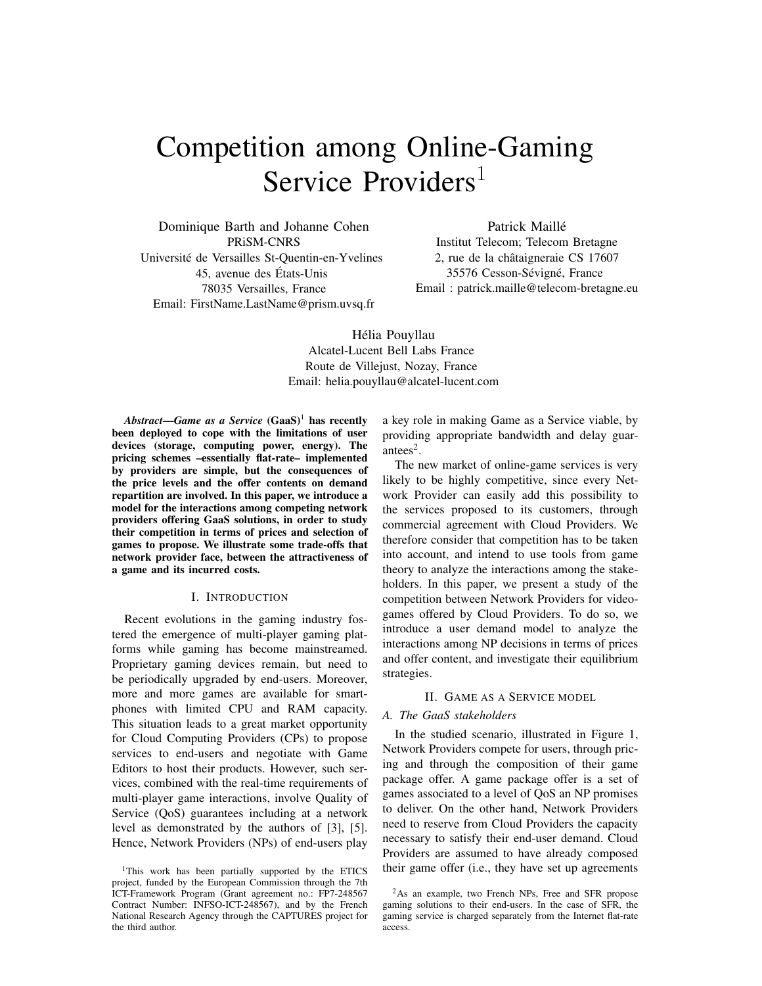# Competition among Online-Gaming Service Providers<sup>1</sup>

Dominique Barth and Johanne Cohen PRiSM-CNRS Université de Versailles St-Quentin-en-Yvelines 45, avenue des États-Unis 78035 Versailles, France Email: FirstName.LastName@prism.uvsq.fr

Patrick Maillé Institut Telecom; Telecom Bretagne 2, rue de la châtaigneraie CS 17607 35576 Cesson-Sévigné, France Email : patrick.maille@telecom-bretagne.eu

Hélia Pouyllau Alcatel-Lucent Bell Labs France Route de Villejust, Nozay, France Email: helia.pouyllau@alcatel-lucent.com

 $Abstract$ —*Game as a Service* (GaaS)<sup>1</sup> has recently been deployed to cope with the limitations of user devices (storage, computing power, energy). The pricing schemes –essentially flat-rate– implemented by providers are simple, but the consequences of the price levels and the offer contents on demand repartition are involved. In this paper, we introduce a model for the interactions among competing network providers offering GaaS solutions, in order to study their competition in terms of prices and selection of games to propose. We illustrate some trade-offs that network provider face, between the attractiveness of a game and its incurred costs.

#### I. INTRODUCTION

Recent evolutions in the gaming industry fostered the emergence of multi-player gaming platforms while gaming has become mainstreamed. Proprietary gaming devices remain, but need to be periodically upgraded by end-users. Moreover, more and more games are available for smartphones with limited CPU and RAM capacity. This situation leads to a great market opportunity for Cloud Computing Providers (CPs) to propose services to end-users and negotiate with Game Editors to host their products. However, such services, combined with the real-time requirements of multi-player game interactions, involve Quality of Service (QoS) guarantees including at a network level as demonstrated by the authors of [3], [5]. Hence, Network Providers (NPs) of end-users play a key role in making Game as a Service viable, by providing appropriate bandwidth and delay guarantees<sup>2</sup>.

The new market of online-game services is very likely to be highly competitive, since every Network Provider can easily add this possibility to the services proposed to its customers, through commercial agreement with Cloud Providers. We therefore consider that competition has to be taken into account, and intend to use tools from game theory to analyze the interactions among the stakeholders. In this paper, we present a study of the competition between Network Providers for videogames offered by Cloud Providers. To do so, we introduce a user demand model to analyze the interactions among NP decisions in terms of prices and offer content, and investigate their equilibrium strategies.

#### II. GAME AS A SERVICE MODEL

### *A. The GaaS stakeholders*

In the studied scenario, illustrated in Figure 1, Network Providers compete for users, through pricing and through the composition of their game package offer. A game package offer is a set of games associated to a level of QoS an NP promises to deliver. On the other hand, Network Providers need to reserve from Cloud Providers the capacity necessary to satisfy their end-user demand. Cloud Providers are assumed to have already composed their game offer (i.e., they have set up agreements

<sup>&</sup>lt;sup>1</sup>This work has been partially supported by the ETICS project, funded by the European Commission through the 7th ICT-Framework Program (Grant agreement no.: FP7-248567 Contract Number: INFSO-ICT-248567), and by the French National Research Agency through the CAPTURES project for the third author.

<sup>&</sup>lt;sup>2</sup>As an example, two French NPs, Free and SFR propose gaming solutions to their end-users. In the case of SFR, the gaming service is charged separately from the Internet flat-rate access.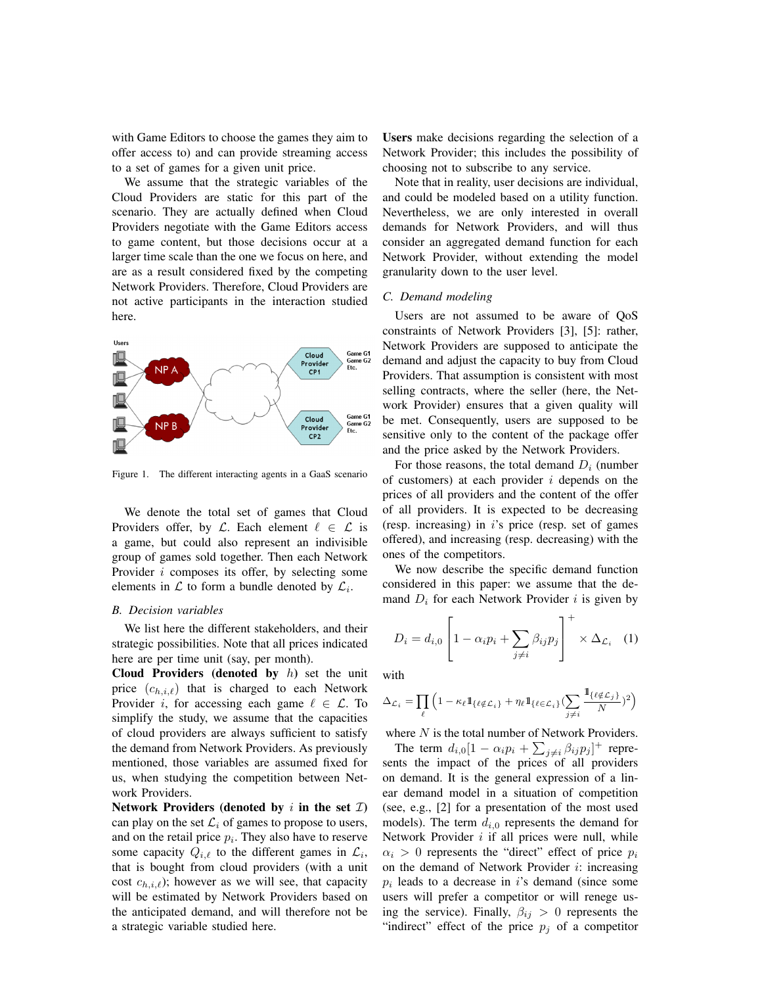with Game Editors to choose the games they aim to offer access to) and can provide streaming access to a set of games for a given unit price.

We assume that the strategic variables of the Cloud Providers are static for this part of the scenario. They are actually defined when Cloud Providers negotiate with the Game Editors access to game content, but those decisions occur at a larger time scale than the one we focus on here, and are as a result considered fixed by the competing Network Providers. Therefore, Cloud Providers are not active participants in the interaction studied here.



Figure 1. The different interacting agents in a GaaS scenario

We denote the total set of games that Cloud Providers offer, by  $\mathcal{L}$ . Each element  $\ell \in \mathcal{L}$  is a game, but could also represent an indivisible group of games sold together. Then each Network Provider *i* composes its offer, by selecting some elements in  $\mathcal L$  to form a bundle denoted by  $\mathcal L_i$ .

#### *B. Decision variables*

We list here the different stakeholders, and their strategic possibilities. Note that all prices indicated here are per time unit (say, per month).

Cloud Providers (denoted by  $h$ ) set the unit price  $(c_{h,i,\ell})$  that is charged to each Network Provider *i*, for accessing each game  $\ell \in \mathcal{L}$ . To simplify the study, we assume that the capacities of cloud providers are always sufficient to satisfy the demand from Network Providers. As previously mentioned, those variables are assumed fixed for us, when studying the competition between Network Providers.

Network Providers (denoted by i in the set  $\mathcal{I}$ ) can play on the set  $\mathcal{L}_i$  of games to propose to users, and on the retail price  $p_i$ . They also have to reserve some capacity  $Q_{i,\ell}$  to the different games in  $\mathcal{L}_i$ , that is bought from cloud providers (with a unit cost  $c_{h,i,\ell}$ ); however as we will see, that capacity will be estimated by Network Providers based on the anticipated demand, and will therefore not be a strategic variable studied here.

Users make decisions regarding the selection of a Network Provider; this includes the possibility of choosing not to subscribe to any service.

Note that in reality, user decisions are individual, and could be modeled based on a utility function. Nevertheless, we are only interested in overall demands for Network Providers, and will thus consider an aggregated demand function for each Network Provider, without extending the model granularity down to the user level.

## *C. Demand modeling*

Users are not assumed to be aware of QoS constraints of Network Providers [3], [5]: rather, Network Providers are supposed to anticipate the demand and adjust the capacity to buy from Cloud Providers. That assumption is consistent with most selling contracts, where the seller (here, the Network Provider) ensures that a given quality will be met. Consequently, users are supposed to be sensitive only to the content of the package offer and the price asked by the Network Providers.

For those reasons, the total demand  $D_i$  (number of customers) at each provider  $i$  depends on the prices of all providers and the content of the offer of all providers. It is expected to be decreasing (resp. increasing) in  $i$ 's price (resp. set of games) offered), and increasing (resp. decreasing) with the ones of the competitors.

We now describe the specific demand function considered in this paper: we assume that the demand  $D_i$  for each Network Provider i is given by

$$
D_i = d_{i,0} \left[ 1 - \alpha_i p_i + \sum_{j \neq i} \beta_{ij} p_j \right]^+ \times \Delta_{\mathcal{L}_i} \quad (1)
$$

with

$$
\Delta_{\mathcal{L}_i} = \prod_{\ell} \left( 1 - \kappa_{\ell} 1\!\!1_{\{\ell \notin \mathcal{L}_i\}} + \eta_{\ell} 1\!\!1_{\{\ell \in \mathcal{L}_i\}} (\sum_{j \neq i} \frac{1\!\!1_{\{\ell \notin \mathcal{L}_j\}}}{N})^2 \right)
$$

where  $N$  is the total number of Network Providers.

The term  $d_{i,0}[1 - \alpha_i p_i + \sum_{j \neq i} \beta_{ij} p_j]^+$  represents the impact of the prices of all providers on demand. It is the general expression of a linear demand model in a situation of competition (see, e.g., [2] for a presentation of the most used models). The term  $d_{i,0}$  represents the demand for Network Provider  $i$  if all prices were null, while  $\alpha_i > 0$  represents the "direct" effect of price  $p_i$ on the demand of Network Provider  $i$ : increasing  $p_i$  leads to a decrease in i's demand (since some users will prefer a competitor or will renege using the service). Finally,  $\beta_{ij} > 0$  represents the "indirect" effect of the price  $p_j$  of a competitor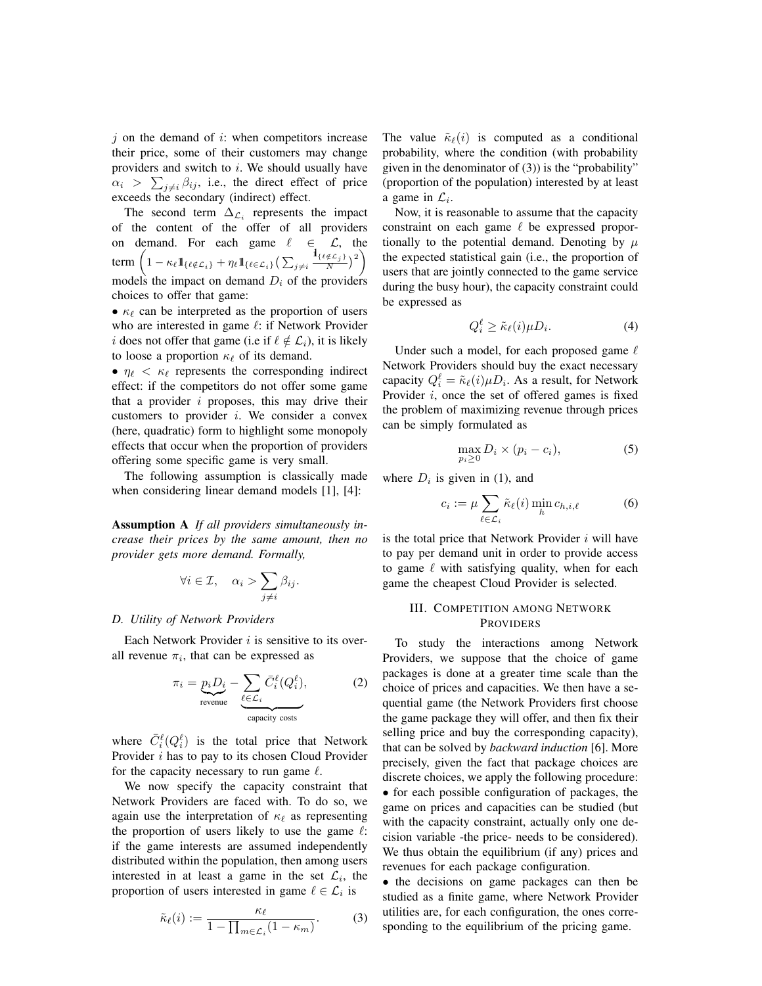$j$  on the demand of  $i$ : when competitors increase their price, some of their customers may change providers and switch to  $i$ . We should usually have  $\alpha_i > \sum_{j \neq i} \beta_{ij}$ , i.e., the direct effect of price exceeds the secondary (indirect) effect.

The second term  $\Delta \mathcal{L}_i$  represents the impact of the content of the offer of all providers on demand. For each game  $\ell \in \mathcal{L}$ , the term  $\left(1 - \kappa_{\ell} \mathbb{1}_{\{\ell \notin \mathcal{L}_i\}} + \eta_{\ell} \mathbb{1}_{\{\ell \in \mathcal{L}_i\}} \left(\sum_{j \neq i} \frac{\mathbb{1}_{\{\ell \notin \mathcal{L}_j\}}}{N}\right)^2\right)$ models the impact on demand  $D_i$  of the providers choices to offer that game:

•  $\kappa_{\ell}$  can be interpreted as the proportion of users who are interested in game  $\ell$ : if Network Provider i does not offer that game (i.e if  $\ell \notin L_i$ ), it is likely to loose a proportion  $\kappa_{\ell}$  of its demand.

•  $\eta_{\ell} < \kappa_{\ell}$  represents the corresponding indirect effect: if the competitors do not offer some game that a provider  $i$  proposes, this may drive their customers to provider  $i$ . We consider a convex (here, quadratic) form to highlight some monopoly effects that occur when the proportion of providers offering some specific game is very small.

The following assumption is classically made when considering linear demand models [1], [4]:

Assumption A *If all providers simultaneously increase their prices by the same amount, then no provider gets more demand. Formally,*

$$
\forall i \in \mathcal{I}, \quad \alpha_i > \sum_{j \neq i} \beta_{ij}.
$$

### *D. Utility of Network Providers*

Each Network Provider  $i$  is sensitive to its overall revenue  $\pi_i$ , that can be expressed as

$$
\pi_i = \underbrace{p_i D_i}_{\text{revenue}} - \underbrace{\sum_{\ell \in \mathcal{L}_i} \bar{C}_i^{\ell} (Q_i^{\ell}),}_{\text{capacity costs}} \tag{2}
$$

where  $\bar{C}_i^{\ell}(Q_i^{\ell})$  is the total price that Network Provider i has to pay to its chosen Cloud Provider for the capacity necessary to run game  $\ell$ .

We now specify the capacity constraint that Network Providers are faced with. To do so, we again use the interpretation of  $\kappa_{\ell}$  as representing the proportion of users likely to use the game  $\ell$ : if the game interests are assumed independently distributed within the population, then among users interested in at least a game in the set  $\mathcal{L}_i$ , the proportion of users interested in game  $\ell \in \mathcal{L}_i$  is

$$
\tilde{\kappa}_{\ell}(i) := \frac{\kappa_{\ell}}{1 - \prod_{m \in \mathcal{L}_i} (1 - \kappa_m)}.
$$
 (3)

The value  $\tilde{\kappa}_{\ell}(i)$  is computed as a conditional probability, where the condition (with probability given in the denominator of (3)) is the "probability" (proportion of the population) interested by at least a game in  $\mathcal{L}_i$ .

Now, it is reasonable to assume that the capacity constraint on each game  $\ell$  be expressed proportionally to the potential demand. Denoting by  $\mu$ the expected statistical gain (i.e., the proportion of users that are jointly connected to the game service during the busy hour), the capacity constraint could be expressed as

$$
Q_i^{\ell} \ge \tilde{\kappa}_{\ell}(i)\mu D_i. \tag{4}
$$

Under such a model, for each proposed game  $\ell$ Network Providers should buy the exact necessary capacity  $Q_i^{\ell} = \tilde{\kappa}_{\ell}(i) \mu D_i$ . As a result, for Network Provider  $i$ , once the set of offered games is fixed the problem of maximizing revenue through prices can be simply formulated as

$$
\max_{p_i \ge 0} D_i \times (p_i - c_i),\tag{5}
$$

where  $D_i$  is given in (1), and

$$
c_i := \mu \sum_{\ell \in \mathcal{L}_i} \tilde{\kappa}_{\ell}(i) \min_{h} c_{h,i,\ell} \tag{6}
$$

is the total price that Network Provider  $i$  will have to pay per demand unit in order to provide access to game  $\ell$  with satisfying quality, when for each game the cheapest Cloud Provider is selected.

# III. COMPETITION AMONG NETWORK PROVIDERS

To study the interactions among Network Providers, we suppose that the choice of game packages is done at a greater time scale than the choice of prices and capacities. We then have a sequential game (the Network Providers first choose the game package they will offer, and then fix their selling price and buy the corresponding capacity), that can be solved by *backward induction* [6]. More precisely, given the fact that package choices are discrete choices, we apply the following procedure: • for each possible configuration of packages, the game on prices and capacities can be studied (but with the capacity constraint, actually only one decision variable -the price- needs to be considered). We thus obtain the equilibrium (if any) prices and revenues for each package configuration.

• the decisions on game packages can then be studied as a finite game, where Network Provider utilities are, for each configuration, the ones corresponding to the equilibrium of the pricing game.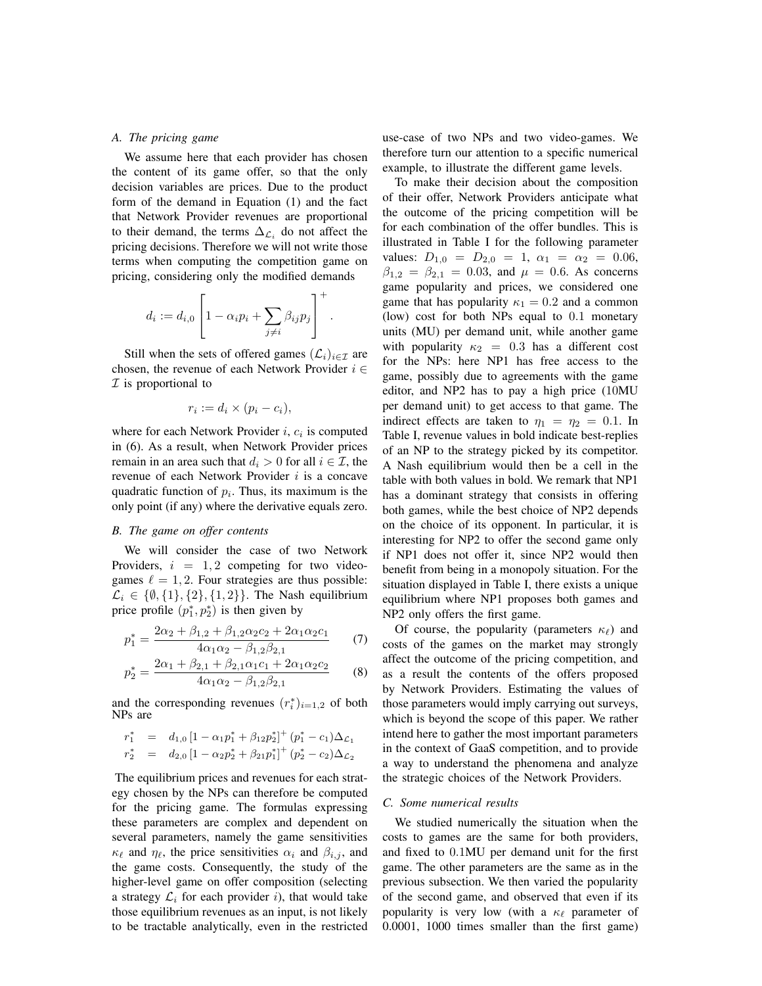## *A. The pricing game*

We assume here that each provider has chosen the content of its game offer, so that the only decision variables are prices. Due to the product form of the demand in Equation (1) and the fact that Network Provider revenues are proportional to their demand, the terms  $\Delta_{\mathcal{L}_i}$  do not affect the pricing decisions. Therefore we will not write those terms when computing the competition game on pricing, considering only the modified demands

$$
d_i := d_{i,0} \left[ 1 - \alpha_i p_i + \sum_{j \neq i} \beta_{ij} p_j \right]^+.
$$

Still when the sets of offered games  $(\mathcal{L}_i)_{i \in \mathcal{I}}$  are chosen, the revenue of each Network Provider  $i \in$  $I$  is proportional to

$$
r_i := d_i \times (p_i - c_i),
$$

where for each Network Provider  $i$ ,  $c_i$  is computed in (6). As a result, when Network Provider prices remain in an area such that  $d_i > 0$  for all  $i \in \mathcal{I}$ , the revenue of each Network Provider i is a concave quadratic function of  $p_i$ . Thus, its maximum is the only point (if any) where the derivative equals zero.

## *B. The game on offer contents*

We will consider the case of two Network Providers,  $i = 1, 2$  competing for two videogames  $\ell = 1, 2$ . Four strategies are thus possible:  $\mathcal{L}_i \in \{0, 1\}, \{2\}, \{1, 2\}\}.$  The Nash equilibrium price profile  $(p_1^*, p_2^*)$  is then given by

$$
p_1^* = \frac{2\alpha_2 + \beta_{1,2} + \beta_{1,2}\alpha_2 c_2 + 2\alpha_1 \alpha_2 c_1}{4\alpha_1 \alpha_2 - \beta_{1,2}\beta_{2,1}}\tag{7}
$$

$$
p_2^* = \frac{2\alpha_1 + \beta_{2,1} + \beta_{2,1}\alpha_1c_1 + 2\alpha_1\alpha_2c_2}{4\alpha_1\alpha_2 - \beta_{1,2}\beta_{2,1}}\tag{8}
$$

and the corresponding revenues  $(r_i^*)_{i=1,2}$  of both NPs are

$$
r_1^* = d_{1,0} [1 - \alpha_1 p_1^* + \beta_{12} p_2^*]^+ (p_1^* - c_1) \Delta_{\mathcal{L}_1}
$$
  

$$
r_2^* = d_{2,0} [1 - \alpha_2 p_2^* + \beta_{21} p_1^*]^+ (p_2^* - c_2) \Delta_{\mathcal{L}_2}
$$

The equilibrium prices and revenues for each strategy chosen by the NPs can therefore be computed for the pricing game. The formulas expressing these parameters are complex and dependent on several parameters, namely the game sensitivities  $\kappa_{\ell}$  and  $\eta_{\ell}$ , the price sensitivities  $\alpha_i$  and  $\beta_{i,j}$ , and the game costs. Consequently, the study of the higher-level game on offer composition (selecting a strategy  $\mathcal{L}_i$  for each provider i), that would take those equilibrium revenues as an input, is not likely to be tractable analytically, even in the restricted use-case of two NPs and two video-games. We therefore turn our attention to a specific numerical example, to illustrate the different game levels.

To make their decision about the composition of their offer, Network Providers anticipate what the outcome of the pricing competition will be for each combination of the offer bundles. This is illustrated in Table I for the following parameter values:  $D_{1,0} = D_{2,0} = 1$ ,  $\alpha_1 = \alpha_2 = 0.06$ ,  $\beta_{1,2} = \beta_{2,1} = 0.03$ , and  $\mu = 0.6$ . As concerns game popularity and prices, we considered one game that has popularity  $\kappa_1 = 0.2$  and a common (low) cost for both NPs equal to 0.1 monetary units (MU) per demand unit, while another game with popularity  $\kappa_2$  = 0.3 has a different cost for the NPs: here NP1 has free access to the game, possibly due to agreements with the game editor, and NP2 has to pay a high price (10MU per demand unit) to get access to that game. The indirect effects are taken to  $\eta_1 = \eta_2 = 0.1$ . In Table I, revenue values in bold indicate best-replies of an NP to the strategy picked by its competitor. A Nash equilibrium would then be a cell in the table with both values in bold. We remark that NP1 has a dominant strategy that consists in offering both games, while the best choice of NP2 depends on the choice of its opponent. In particular, it is interesting for NP2 to offer the second game only if NP1 does not offer it, since NP2 would then benefit from being in a monopoly situation. For the situation displayed in Table I, there exists a unique equilibrium where NP1 proposes both games and NP2 only offers the first game.

Of course, the popularity (parameters  $\kappa_{\ell}$ ) and costs of the games on the market may strongly affect the outcome of the pricing competition, and as a result the contents of the offers proposed by Network Providers. Estimating the values of those parameters would imply carrying out surveys, which is beyond the scope of this paper. We rather intend here to gather the most important parameters in the context of GaaS competition, and to provide a way to understand the phenomena and analyze the strategic choices of the Network Providers.

## *C. Some numerical results*

We studied numerically the situation when the costs to games are the same for both providers, and fixed to 0.1MU per demand unit for the first game. The other parameters are the same as in the previous subsection. We then varied the popularity of the second game, and observed that even if its popularity is very low (with a  $\kappa_{\ell}$  parameter of 0.0001, 1000 times smaller than the first game)